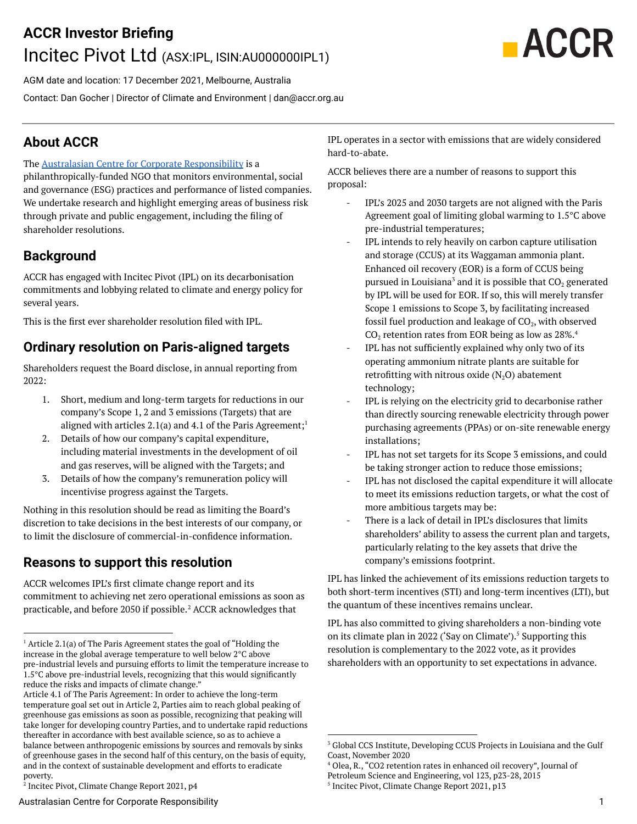# **ACCR Investor Briefing** Incitec Pivot Ltd (ASX:IPL, ISIN:AU000000IPL1)



AGM date and location: 17 December 2021, Melbourne, Australia Contact: Dan Gocher | Director of Climate and Environment | [dan@accr.org.au](mailto:dan@accr.org.au)

## **About ACCR**

The Australasian Centre for Corporate [Responsibility](http://www.accr.org.au) is a

philanthropically-funded NGO that monitors environmental, social and governance (ESG) practices and performance of listed companies. We undertake research and highlight emerging areas of business risk through private and public engagement, including the filing of shareholder resolutions.

## **Background**

ACCR has engaged with Incitec Pivot (IPL) on its decarbonisation commitments and lobbying related to climate and energy policy for several years.

This is the first ever shareholder resolution filed with IPL.

## **Ordinary resolution on Paris-aligned targets**

Shareholders request the Board disclose, in annual reporting from 2022:

- 1. Short, medium and long-term targets for reductions in our company's Scope 1, 2 and 3 emissions (Targets) that are aligned with articles  $2.1(a)$  and  $4.1$  of the Paris Agreement;<sup>1</sup>
- 2. Details of how our company's capital expenditure, including material investments in the development of oil and gas reserves, will be aligned with the Targets; and
- 3. Details of how the company's remuneration policy will incentivise progress against the Targets.

Nothing in this resolution should be read as limiting the Board's discretion to take decisions in the best interests of our company, or to limit the disclosure of commercial-in-confidence information.

## **Reasons to support this resolution**

ACCR welcomes IPL's first climate change report and its commitment to achieving net zero operational emissions as soon as practicable, and before 2050 if possible. ${}^{2}$  ACCR acknowledges that

IPL operates in a sector with emissions that are widely considered hard-to-abate.

ACCR believes there are a number of reasons to support this proposal:

- IPL's 2025 and 2030 targets are not aligned with the Paris Agreement goal of limiting global warming to 1.5°C above pre-industrial temperatures;
- IPL intends to rely heavily on carbon capture utilisation and storage (CCUS) at its Waggaman ammonia plant. Enhanced oil recovery (EOR) is a form of CCUS being pursued in Louisiana $^3$  and it is possible that CO $_2$  generated by IPL will be used for EOR. If so, this will merely transfer Scope 1 emissions to Scope 3, by facilitating increased fossil fuel production and leakage of  $\mathrm{CO}_2$ , with observed  $\mathrm{CO}_2$  retention rates from EOR being as low as 28%. $^4$
- IPL has not sufficiently explained why only two of its operating ammonium nitrate plants are suitable for retrofitting with nitrous oxide  $(N_2O)$  abatement technology;
- IPL is relying on the electricity grid to decarbonise rather than directly sourcing renewable electricity through power purchasing agreements (PPAs) or on-site renewable energy installations;
- IPL has not set targets for its Scope 3 emissions, and could be taking stronger action to reduce those emissions;
- IPL has not disclosed the capital expenditure it will allocate to meet its emissions reduction targets, or what the cost of more ambitious targets may be:
- There is a lack of detail in IPL's disclosures that limits shareholders' ability to assess the current plan and targets, particularly relating to the key assets that drive the company's emissions footprint.

IPL has linked the achievement of its emissions reduction targets to both short-term incentives (STI) and long-term incentives (LTI), but the quantum of these incentives remains unclear.

IPL has also committed to giving shareholders a non-binding vote on its climate plan in 2022 ('Say on Climate').<sup>5</sup> Supporting this resolution is complementary to the 2022 vote, as it provides shareholders with an opportunity to set expectations in advance.

Petroleum Science and Engineering, vol 123, p23-28, 2015

5 Incitec Pivot, Climate Change Report 2021, p13

 $1$  Article 2.1(a) of The Paris Agreement states the goal of "Holding the increase in the global average temperature to well below 2°C above pre-industrial levels and pursuing efforts to limit the temperature increase to 1.5°C above pre-industrial levels, recognizing that this would significantly reduce the risks and impacts of climate change."

Article 4.1 of The Paris Agreement: In order to achieve the long-term temperature goal set out in Article 2, Parties aim to reach global peaking of greenhouse gas emissions as soon as possible, recognizing that peaking will take longer for developing country Parties, and to undertake rapid reductions thereafter in accordance with best available science, so as to achieve a balance between anthropogenic emissions by sources and removals by sinks of greenhouse gases in the second half of this century, on the basis of equity, and in the context of sustainable development and efforts to eradicate poverty.

<sup>2</sup> Incitec Pivot, Climate Change Report 2021, p4

<sup>3</sup> Global CCS Institute, Developing CCUS Projects in Louisiana and the Gulf Coast, November 2020

<sup>4</sup> Olea, R., "CO2 retention rates in enhanced oil recovery", Journal of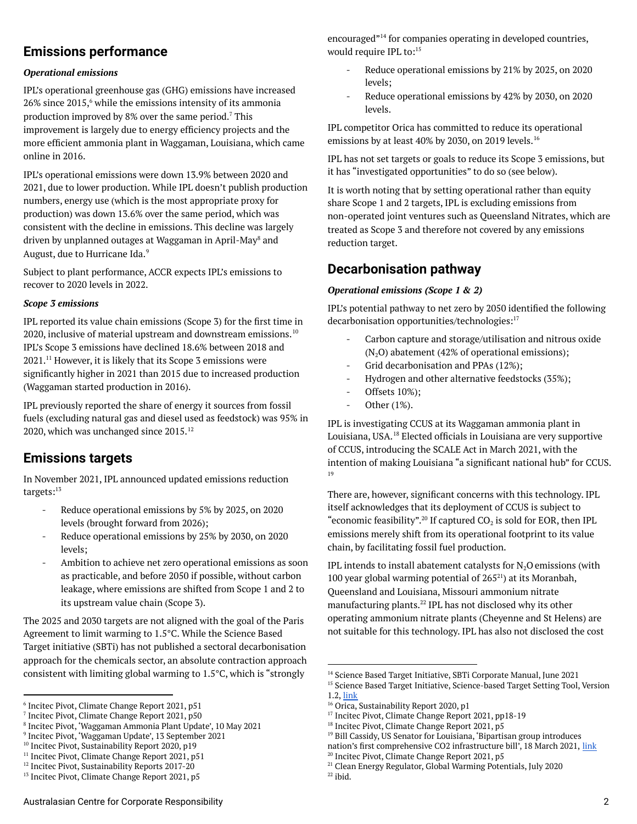### **Emissions performance**

#### *Operational emissions*

IPL's operational greenhouse gas (GHG) emissions have increased  $26\%$  since  $2015$ , while the emissions intensity of its ammonia production improved by 8% over the same period.<sup>7</sup> This improvement is largely due to energy efficiency projects and the more efficient ammonia plant in Waggaman, Louisiana, which came online in 2016.

IPL's operational emissions were down 13.9% between 2020 and 2021, due to lower production. While IPL doesn't publish production numbers, energy use (which is the most appropriate proxy for production) was down 13.6% over the same period, which was consistent with the decline in emissions. This decline was largely driven by unplanned outages at Waggaman in April-May<sup>8</sup> and August, due to Hurricane Ida. 9

Subject to plant performance, ACCR expects IPL's emissions to recover to 2020 levels in 2022.

#### *Scope 3 emissions*

IPL reported its value chain emissions (Scope 3) for the first time in 2020, inclusive of material upstream and downstream emissions.  $^{10}$ IPL's Scope 3 emissions have declined 18.6% between 2018 and  $2021.^{11}$  However, it is likely that its Scope 3 emissions were significantly higher in 2021 than 2015 due to increased production (Waggaman started production in 2016).

IPL previously reported the share of energy it sources from fossil fuels (excluding natural gas and diesel used as feedstock) was 95% in 2020, which was unchanged since 2015. 12

#### **Emissions targets**

In November 2021, IPL announced updated emissions reduction targets: 13

- Reduce operational emissions by 5% by 2025, on 2020 levels (brought forward from 2026);
- Reduce operational emissions by 25% by 2030, on 2020 levels;
- Ambition to achieve net zero operational emissions as soon as practicable, and before 2050 if possible, without carbon leakage, where emissions are shifted from Scope 1 and 2 to its upstream value chain (Scope 3).

The 2025 and 2030 targets are not aligned with the goal of the Paris Agreement to limit warming to 1.5°C. While the Science Based Target initiative (SBTi) has not published a sectoral decarbonisation approach for the chemicals sector, an absolute contraction approach consistent with limiting global warming to 1.5°C, which is "strongly

encouraged"<sup>14</sup> for companies operating in developed countries, would require IPL to: 15

- Reduce operational emissions by 21% by 2025, on 2020 levels;
- Reduce operational emissions by 42% by 2030, on 2020 levels.

IPL competitor Orica has committed to reduce its operational emissions by at least 40% by 2030, on 2019 levels. 16

IPL has not set targets or goals to reduce its Scope 3 emissions, but it has "investigated opportunities" to do so (see below).

It is worth noting that by setting operational rather than equity share Scope 1 and 2 targets, IPL is excluding emissions from non-operated joint ventures such as Queensland Nitrates, which are treated as Scope 3 and therefore not covered by any emissions reduction target.

#### **Decarbonisation pathway**

#### *Operational emissions (Scope 1 & 2)*

IPL's potential pathway to net zero by 2050 identified the following decarbonisation opportunities/technologies: 17

- Carbon capture and storage/utilisation and nitrous oxide  $(N_2O)$  abatement (42% of operational emissions);
- Grid decarbonisation and PPAs (12%);
- Hydrogen and other alternative feedstocks (35%);
- Offsets 10%);
- Other (1%).

IPL is investigating CCUS at its Waggaman ammonia plant in Louisiana, USA.<sup>18</sup> Elected officials in Louisiana are very supportive of CCUS, introducing the SCALE Act in March 2021, with the intention of making Louisiana "a significant national hub" for CCUS. 19

There are, however, significant concerns with this technology. IPL itself acknowledges that its deployment of CCUS is subject to "economic feasibility".<sup>20</sup> If captured CO<sub>2</sub> is sold for EOR, then IPL emissions merely shift from its operational footprint to its value chain, by facilitating fossil fuel production.

IPL intends to install abatement catalysts for  $N_2O$  emissions (with 100 year global warming potential of  $265<sup>21</sup>$ ) at its Moranbah, Queensland and Louisiana, Missouri ammonium nitrate manufacturing plants.<sup>22</sup> IPL has not disclosed why its other operating ammonium nitrate plants (Cheyenne and St Helens) are not suitable for this technology. IPL has also not disclosed the cost

<sup>6</sup> Incitec Pivot, Climate Change Report 2021, p51

<sup>7</sup> Incitec Pivot, Climate Change Report 2021, p50

<sup>8</sup> Incitec Pivot, 'Waggaman Ammonia Plant Update', 10 May 2021

<sup>9</sup> Incitec Pivot, 'Waggaman Update', 13 September 2021

<sup>&</sup>lt;sup>10</sup> Incitec Pivot, Sustainability Report 2020, p19

<sup>&</sup>lt;sup>11</sup> Incitec Pivot, Climate Change Report 2021, p51

<sup>&</sup>lt;sup>12</sup> Incitec Pivot, Sustainability Reports 2017-20

<sup>&</sup>lt;sup>13</sup> Incitec Pivot, Climate Change Report 2021, p5

<sup>&</sup>lt;sup>14</sup> Science Based Target Initiative, SBTi Corporate Manual, June 2021

<sup>&</sup>lt;sup>15</sup> Science Based Target Initiative, Science-based Target Setting Tool, Version 1.2, [link](https://sciencebasedtargets.org/resources/files/SBTi-tool-4.xlsx)

<sup>&</sup>lt;sup>16</sup> Orica, Sustainability Report 2020, p1

<sup>17</sup> Incitec Pivot, Climate Change Report 2021, pp18-19

<sup>&</sup>lt;sup>18</sup> Incitec Pivot, Climate Change Report 2021, p5

<sup>19</sup> Bill Cassidy, US Senator for Louisiana, 'Bipartisan group introduces

nation's first comprehensive CO2 infrastructure bill', 18 March 2021, [link](https://www.cassidy.senate.gov/newsroom/press-releases/bipartisan-group-introduces-nations-first-comprehensive-co2-infrastructure-bill)

<sup>&</sup>lt;sup>20</sup> Incitec Pivot, Climate Change Report 2021, p5

<sup>&</sup>lt;sup>21</sup> Clean Energy Regulator, Global Warming Potentials, July 2020

 $22$  ibid.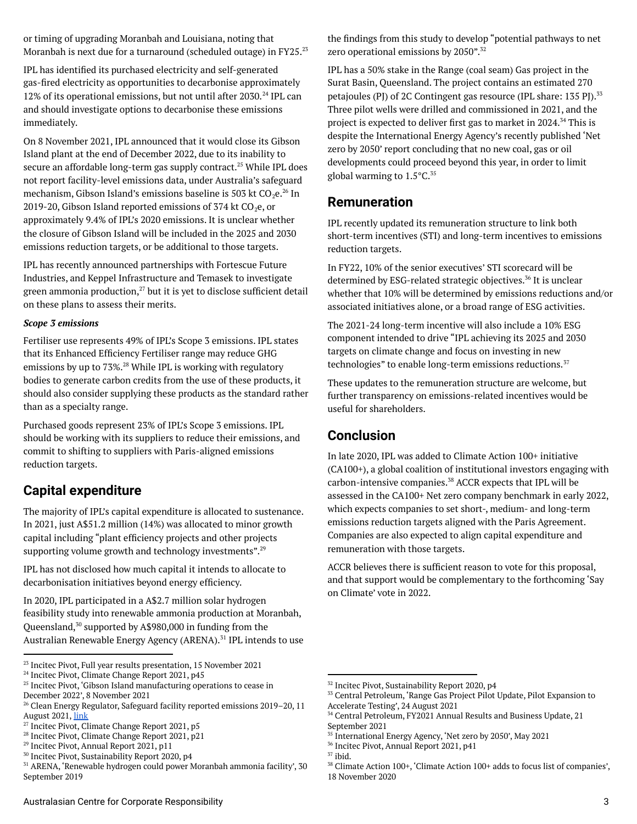or timing of upgrading Moranbah and Louisiana, noting that Moranbah is next due for a turnaround (scheduled outage) in FY25. $^{23}$ 

IPL has identified its purchased electricity and self-generated gas-fired electricity as opportunities to decarbonise approximately 12% of its operational emissions, but not until after 2030.<sup>24</sup> IPL can and should investigate options to decarbonise these emissions immediately.

On 8 November 2021, IPL announced that it would close its Gibson Island plant at the end of December 2022, due to its inability to secure an affordable long-term gas supply contract.<sup>25</sup> While IPL does not report facility-level emissions data, under Australia's safeguard mechanism, Gibson Island's emissions baseline is 503 kt CO $_2$ e. $^{26}$  In 2019-20, Gibson Island reported emissions of 374 kt  $CO<sub>2</sub>e$ , or approximately 9.4% of IPL's 2020 emissions. It is unclear whether the closure of Gibson Island will be included in the 2025 and 2030 emissions reduction targets, or be additional to those targets.

IPL has recently announced partnerships with Fortescue Future Industries, and Keppel Infrastructure and Temasek to investigate green ammonia production, $27$  but it is yet to disclose sufficient detail on these plans to assess their merits.

#### *Scope 3 emissions*

Fertiliser use represents 49% of IPL's Scope 3 emissions. IPL states that its Enhanced Efficiency Fertiliser range may reduce GHG emissions by up to 73%.<sup>28</sup> While IPL is working with regulatory bodies to generate carbon credits from the use of these products, it should also consider supplying these products as the standard rather than as a specialty range.

Purchased goods represent 23% of IPL's Scope 3 emissions. IPL should be working with its suppliers to reduce their emissions, and commit to shifting to suppliers with Paris-aligned emissions reduction targets.

### **Capital expenditure**

The majority of IPL's capital expenditure is allocated to sustenance. In 2021, just A\$51.2 million (14%) was allocated to minor growth capital including "plant efficiency projects and other projects supporting volume growth and technology investments".<sup>29</sup>

IPL has not disclosed how much capital it intends to allocate to decarbonisation initiatives beyond energy efficiency.

In 2020, IPL participated in a A\$2.7 million solar hydrogen feasibility study into renewable ammonia production at Moranbah, Queensland,<sup>30</sup> supported by A\$980,000 in funding from the Australian Renewable Energy Agency (ARENA).<sup>31</sup> IPL intends to use the findings from this study to develop "potential pathways to net zero operational emissions by 2050". 32

IPL has a 50% stake in the Range (coal seam) Gas project in the Surat Basin, Queensland. The project contains an estimated 270 petajoules (PJ) of 2C Contingent gas resource (IPL share: 135 PJ).<sup>33</sup> Three pilot wells were drilled and commissioned in 2021, and the project is expected to deliver first gas to market in 2024.<sup>34</sup> This is despite the International Energy Agency's recently published 'Net zero by 2050' report concluding that no new coal, gas or oil developments could proceed beyond this year, in order to limit global warming to 1.5°C. 35

#### **Remuneration**

IPL recently updated its remuneration structure to link both short-term incentives (STI) and long-term incentives to emissions reduction targets.

In FY22, 10% of the senior executives' STI scorecard will be determined by ESG-related strategic objectives.<sup>36</sup> It is unclear whether that 10% will be determined by emissions reductions and/or associated initiatives alone, or a broad range of ESG activities.

The 2021-24 long-term incentive will also include a 10% ESG component intended to drive "IPL achieving its 2025 and 2030 targets on climate change and focus on investing in new technologies" to enable long-term emissions reductions.<sup>37</sup>

These updates to the remuneration structure are welcome, but further transparency on emissions-related incentives would be useful for shareholders.

### **Conclusion**

In late 2020, IPL was added to Climate Action 100+ initiative (CA100+), a global coalition of institutional investors engaging with carbon-intensive companies.<sup>38</sup> ACCR expects that IPL will be assessed in the CA100+ Net zero company benchmark in early 2022, which expects companies to set short-, medium- and long-term emissions reduction targets aligned with the Paris Agreement. Companies are also expected to align capital expenditure and remuneration with those targets.

ACCR believes there is sufficient reason to vote for this proposal, and that support would be complementary to the forthcoming 'Say on Climate' vote in 2022.

<sup>&</sup>lt;sup>23</sup> Incitec Pivot, Full year results presentation, 15 November 2021

<sup>&</sup>lt;sup>24</sup> Incitec Pivot, Climate Change Report 2021, p45

<sup>&</sup>lt;sup>25</sup> Incitec Pivot, 'Gibson Island manufacturing operations to cease in December 2022', 8 November 2021

<sup>&</sup>lt;sup>26</sup> Clean Energy Regulator, Safeguard facility reported emissions 2019–20, 11 August 2021, [link](http://www.cleanenergyregulator.gov.au/NGER/National%20greenhouse%20and%20energy%20reporting%20data/safeguard-facility-reported-emissions)

<sup>27</sup> Incitec Pivot, Climate Change Report 2021, p5

<sup>&</sup>lt;sup>28</sup> Incitec Pivot, Climate Change Report 2021, p21

<sup>29</sup> Incitec Pivot, Annual Report 2021, p11

<sup>30</sup> Incitec Pivot, Sustainability Report 2020, p4

<sup>31</sup> ARENA, 'Renewable hydrogen could power Moranbah ammonia facility', 30 September 2019

<sup>32</sup> Incitec Pivot, Sustainability Report 2020, p4

<sup>33</sup> Central Petroleum, 'Range Gas Project Pilot Update, Pilot Expansion to Accelerate Testing', 24 August 2021

<sup>34</sup> Central Petroleum, FY2021 Annual Results and Business Update, 21 September 2021

<sup>35</sup> International Energy Agency, 'Net zero by 2050', May 2021

<sup>36</sup> Incitec Pivot, Annual Report 2021, p41

 $37$  ibid.

<sup>38</sup> Climate Action 100+, 'Climate Action 100+ adds to focus list of companies', 18 November 2020